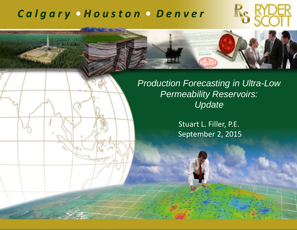## *C a l g <sup>a</sup> <sup>r</sup> y • H <sup>o</sup> <sup>u</sup> <sup>s</sup> <sup>t</sup> <sup>o</sup> <sup>n</sup> • D <sup>e</sup> <sup>n</sup> <sup>v</sup> <sup>e</sup> <sup>r</sup>*



*Production Forecasting in Ultra-Low Permeability Reservoirs: Update*

> Stuart L. Filler, P.E. September 2, 2015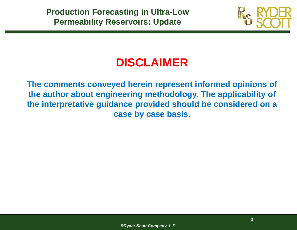

# **DISCLAIMER**

**The comments conveyed herein represent informed opinions of the author about engineering methodology. The applicability of the interpretative guidance provided should be considered on a case by case basis.**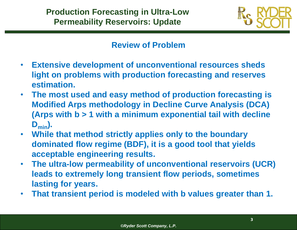

#### **Review of Problem**

- $\bullet$  **Extensive development of unconventional resources sheds light on problems with production forecasting and reserves estimation.**
- • **The most used and easy method of production forecasting is Modified Arps methodology in Decline Curve Analysis (DCA) (Arps with b > 1 with a minimum exponential tail with decline**   $D_{\text{min}}$ .
- **While that method strictly applies only to the boundary dominated flow regime (BDF), it is a good tool that yields acceptable engineering results.**
- $\bullet$  **The ultra-low permeability of unconventional reservoirs (UCR) leads to extremely long transient flow periods, sometimes lasting for years.**
- $\bullet$ **That transient period is modeled with b values greater than 1.**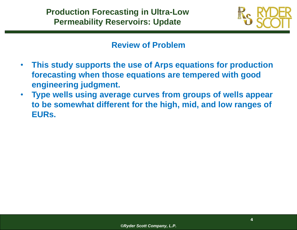

#### **Review of Problem**

- $\bullet$  **This study supports the use of Arps equations for production forecasting when those equations are tempered with good engineering judgment.**
- • **Type wells using average curves from groups of wells appear to be somewhat different for the high, mid, and low ranges of EURs.**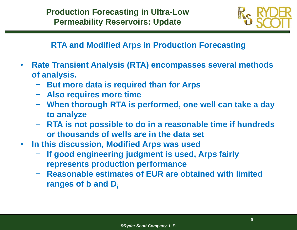

#### **RTA and Modified Arps in Production Forecasting**

- $\bullet$  **Rate Transient Analysis (RTA) encompasses several methods of analysis.** 
	- −**But more data is required than for Arps**
	- − **Also requires more time**
	- − **When thorough RTA is performed, one well can take a day to analyze**
	- − **RTA is not possible to do in a reasonable time if hundreds or thousands of wells are in the data set**
- $\bullet$  **In this discussion, Modified Arps was used** 
	- − **If good engineering judgment is used, Arps fairly represents production performance**
	- − **Reasonable estimates of EUR are obtained with limited ranges of b and Di**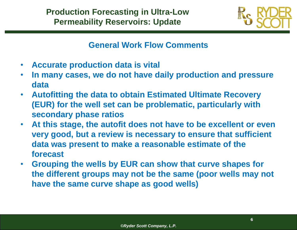

#### **General Work Flow Comments**

- $\bullet$ **Accurate production data is vital**
- $\bullet$  **In many cases, we do not have daily production and pressure data**
- $\bullet$  **Autofitting the data to obtain Estimated Ultimate Recovery (EUR) for the well set can be problematic, particularly with secondary phase ratios**
- • **At this stage, the autofit does not have to be excellent or even very good, but a review is necessary to ensure that sufficient data was present to make a reasonable estimate of the forecast**
- • **Grouping the wells by EUR can show that curve shapes for the different groups may not be the same (poor wells may not have the same curve shape as good wells)**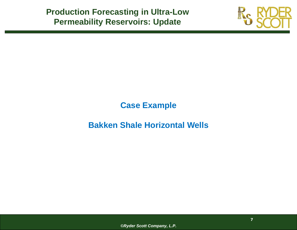

## **Case Example**

## **Bakken Shale Horizontal Wells**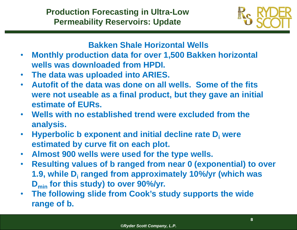

#### **Bakken Shale Horizontal Wells**

- $\bullet$  **Monthly production data for over 1,500 Bakken horizontal wells was downloaded from HPDI.**
- $\bullet$ **The data was uploaded into ARIES.**
- • **Autofit of the data was done on all wells. Some of the fits were not useable as a final product, but they gave an initial estimate of EURs.**
- **Wells with no established trend were excluded from the analysis.**
- $\bullet$ **• Hyperbolic b exponent and initial decline rate D<sub>i</sub> were estimated by curve fit on each plot.**
- •**Almost 900 wells were used for the type wells.**
- $\bullet$  **Resulting values of b ranged from near 0 (exponential) to over 1.9, while Di ranged from approximately 10%/yr (which was Dmin for this study) to over 90%/yr.**
- $\bullet$  **The following slide from Cook's study supports the wide range of b.**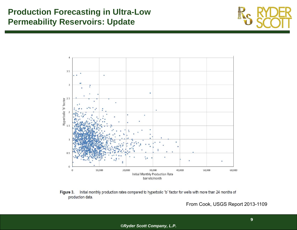





From Cook, USGS Report 2013-1109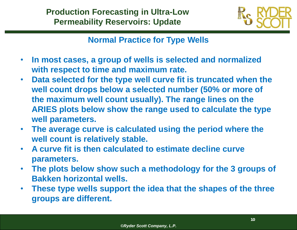

#### **Normal Practice for Type Wells**

- $\bullet$  **In most cases, a group of wells is selected and normalized with respect to time and maximum rate.**
- $\bullet$  **Data selected for the type well curve fit is truncated when the well count drops below a selected number (50% or more of the maximum well count usually). The range lines on the ARIES plots below show the range used to calculate the type well parameters.**
- $\bullet$  **The average curve is calculated using the period where the well count is relatively stable.**
- $\bullet$  **A curve fit is then calculated to estimate decline curve parameters.**
- $\bullet$  **The plots below show such a methodology for the 3 groups of Bakken horizontal wells.**
- $\bullet$  **These type wells support the idea that the shapes of the three groups are different.**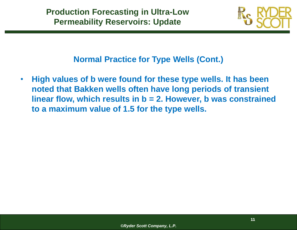

**Normal Practice for Type Wells (Cont.)**

 $\bullet$  **High values of b were found for these type wells. It has been noted that Bakken wells often have long periods of transient linear flow, which results in b = 2. However, b was constrained to a maximum value of 1.5 for the type wells.**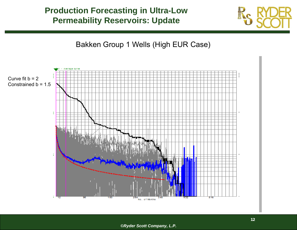

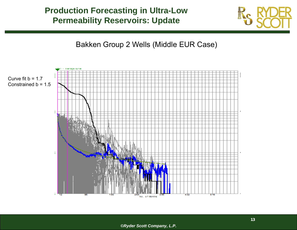

Bakken Group 2 Wells (Middle EUR Case)

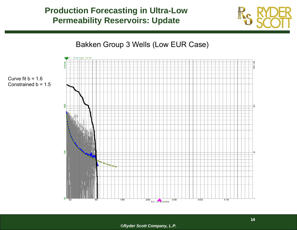



Constrained  $b = 1.5$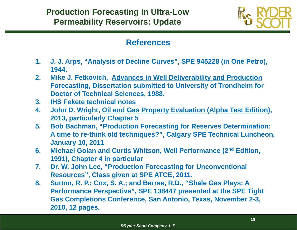

#### **References**

- **1. J. J. Arps, "Analysis of Decline Curves", SPE 945228 (in One Petro), 1944.**
- **2. Mike J. Fetkovich, Advances in Well Deliverability and Production Forecasting, Dissertation submitted to University of Trondheim for Doctor of Technical Sciences, 1988.**
- **3. IHS Fekete technical notes**
- **4. John D. Wright, Oil and Gas Property Evaluation (Alpha Test Edition), 2013, particularly Chapter 5**
- **5. Bob Bachman, "Production Forecasting for Reserves Determination: A time to re-think old techniques?", Calgary SPE Technical Luncheon, January 10, 2011**
- **6. Michael Golan and Curtis Whitson, Well Performance (2nd Edition, 1991), Chapter 4 in particular**
- **7. Dr. W. John Lee, "Production Forecasting for Unconventional Resources", Class given at SPE ATCE, 2011.**
- **8. Sutton, R. P.; Cox, S. A.; and Barree, R.D., "Shale Gas Plays: A Performance Perspective", SPE 138447 presented at the SPE Tight Gas Completions Conference, San Antonio, Texas, November 2-3, 2010, 12 pages.**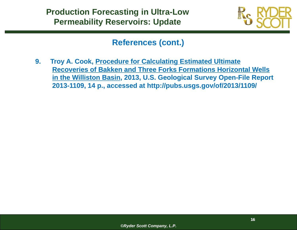

#### **References (cont.)**

**9. Troy A. Cook, Procedure for Calculating Estimated Ultimate Recoveries of Bakken and Three Forks Formations Horizontal Wells in the Williston Basin, 2013, U.S. Geological Survey Open-File Report 2013-1109, 14 p., accessed at http://pubs.usgs.gov/of/2013/1109/**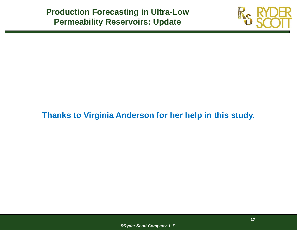

## **Thanks to Virginia Anderson for her help in this study.**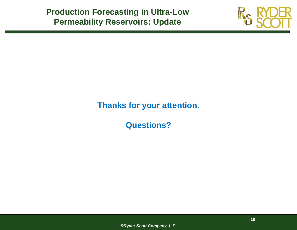

#### **Thanks for your attention.**

**Questions?**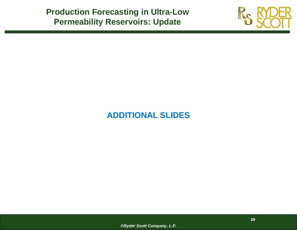

## **ADDITIONAL SLIDES**